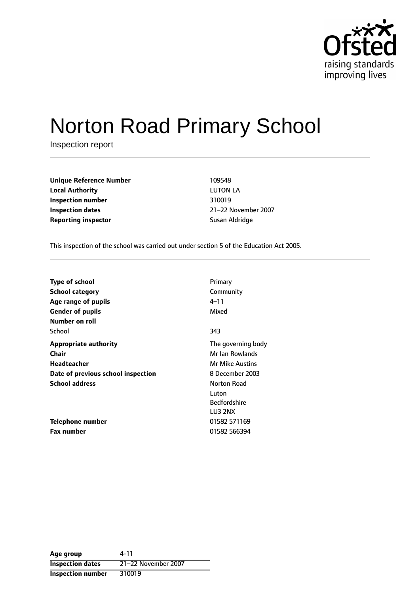

# Norton Road Primary School

Inspection report

**Unique Reference Number** 109548 **Local Authority** LUTON LA **Inspection number** 310019 **Inspection dates** 21-22 November 2007 **Reporting inspector** Susan Aldridge

This inspection of the school was carried out under section 5 of the Education Act 2005.

| Type of school                     | Primary                |
|------------------------------------|------------------------|
| <b>School category</b>             | Community              |
| Age range of pupils                | 4–11                   |
| <b>Gender of pupils</b>            | Mixed                  |
| Number on roll                     |                        |
| School                             | 343                    |
| <b>Appropriate authority</b>       | The governing body     |
| Chair                              | Mr Ian Rowlands        |
| Headteacher                        | <b>Mr Mike Austins</b> |
| Date of previous school inspection | 8 December 2003        |
| <b>School address</b>              | Norton Road            |
|                                    | Luton                  |
|                                    | <b>Bedfordshire</b>    |
|                                    | LU3 2NX                |
| Telephone number                   | 01582 571169           |
| <b>Fax number</b>                  | 01582 566394           |

**Age group** 4-11 **Inspection dates** 21-22 November 2007 **Inspection number** 310019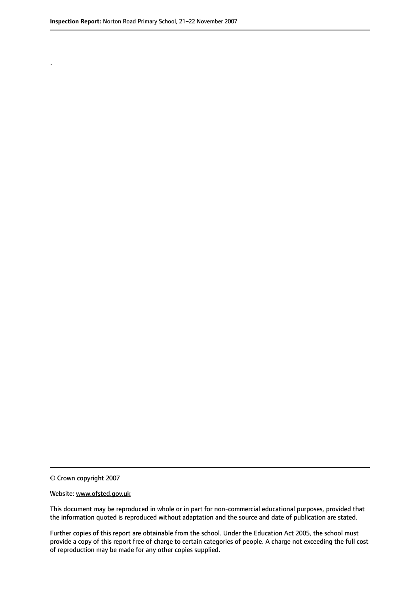.

© Crown copyright 2007

#### Website: www.ofsted.gov.uk

This document may be reproduced in whole or in part for non-commercial educational purposes, provided that the information quoted is reproduced without adaptation and the source and date of publication are stated.

Further copies of this report are obtainable from the school. Under the Education Act 2005, the school must provide a copy of this report free of charge to certain categories of people. A charge not exceeding the full cost of reproduction may be made for any other copies supplied.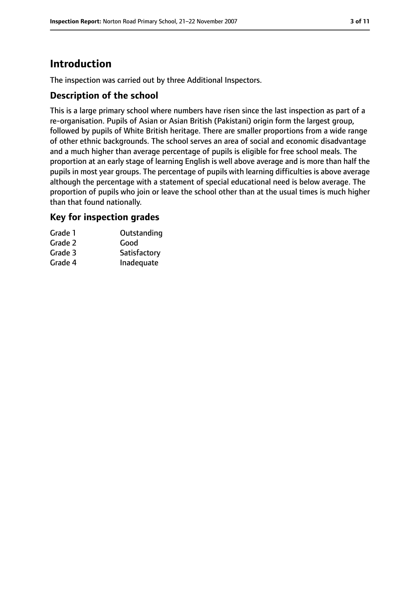# **Introduction**

The inspection was carried out by three Additional Inspectors.

## **Description of the school**

This is a large primary school where numbers have risen since the last inspection as part of a re-organisation. Pupils of Asian or Asian British (Pakistani) origin form the largest group, followed by pupils of White British heritage. There are smaller proportions from a wide range of other ethnic backgrounds. The school serves an area of social and economic disadvantage and a much higher than average percentage of pupils is eligible for free school meals. The proportion at an early stage of learning English is well above average and is more than half the pupils in most year groups. The percentage of pupils with learning difficulties is above average although the percentage with a statement of special educational need is below average. The proportion of pupils who join or leave the school other than at the usual times is much higher than that found nationally.

## **Key for inspection grades**

| Outstanding  |
|--------------|
| Good         |
| Satisfactory |
| Inadequate   |
|              |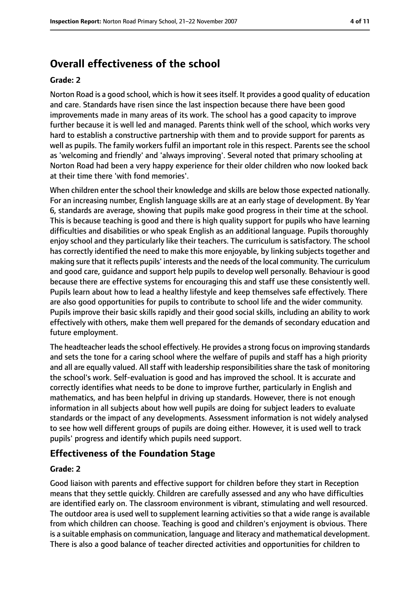# **Overall effectiveness of the school**

#### **Grade: 2**

Norton Road is a good school, which is how it sees itself. It provides a good quality of education and care. Standards have risen since the last inspection because there have been good improvements made in many areas of its work. The school has a good capacity to improve further because it is well led and managed. Parents think well of the school, which works very hard to establish a constructive partnership with them and to provide support for parents as well as pupils. The family workers fulfil an important role in this respect. Parents see the school as 'welcoming and friendly' and 'always improving'. Several noted that primary schooling at Norton Road had been a very happy experience for their older children who now looked back at their time there 'with fond memories'.

When children enter the school their knowledge and skills are below those expected nationally. For an increasing number, English language skills are at an early stage of development. By Year 6, standards are average, showing that pupils make good progress in their time at the school. This is because teaching is good and there is high quality support for pupils who have learning difficulties and disabilities or who speak English as an additional language. Pupils thoroughly enjoy school and they particularly like their teachers. The curriculum is satisfactory. The school has correctly identified the need to make this more enjoyable, by linking subjects together and making sure that it reflects pupils' interests and the needs of the local community. The curriculum and good care, guidance and support help pupils to develop well personally. Behaviour is good because there are effective systems for encouraging this and staff use these consistently well. Pupils learn about how to lead a healthy lifestyle and keep themselves safe effectively. There are also good opportunities for pupils to contribute to school life and the wider community. Pupils improve their basic skills rapidly and their good social skills, including an ability to work effectively with others, make them well prepared for the demands of secondary education and future employment.

The headteacher leads the school effectively. He provides a strong focus on improving standards and sets the tone for a caring school where the welfare of pupils and staff has a high priority and all are equally valued. All staff with leadership responsibilities share the task of monitoring the school's work. Self-evaluation is good and has improved the school. It is accurate and correctly identifies what needs to be done to improve further, particularly in English and mathematics, and has been helpful in driving up standards. However, there is not enough information in all subjects about how well pupils are doing for subject leaders to evaluate standards or the impact of any developments. Assessment information is not widely analysed to see how well different groups of pupils are doing either. However, it is used well to track pupils' progress and identify which pupils need support.

## **Effectiveness of the Foundation Stage**

#### **Grade: 2**

Good liaison with parents and effective support for children before they start in Reception means that they settle quickly. Children are carefully assessed and any who have difficulties are identified early on. The classroom environment is vibrant, stimulating and well resourced. The outdoor area is used well to supplement learning activities so that a wide range is available from which children can choose. Teaching is good and children's enjoyment is obvious. There is a suitable emphasis on communication, language and literacy and mathematical development. There is also a good balance of teacher directed activities and opportunities for children to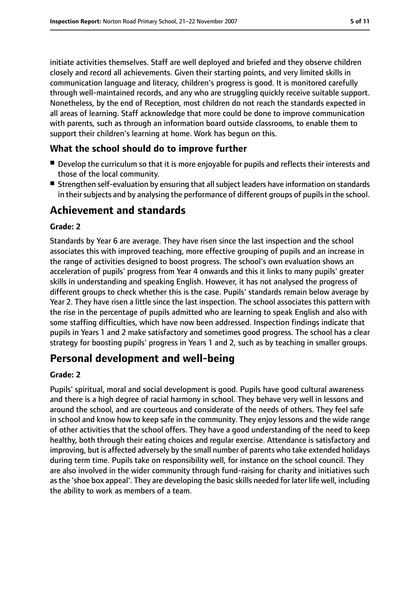initiate activities themselves. Staff are well deployed and briefed and they observe children closely and record all achievements. Given their starting points, and very limited skills in communication language and literacy, children's progress is good. It is monitored carefully through well-maintained records, and any who are struggling quickly receive suitable support. Nonetheless, by the end of Reception, most children do not reach the standards expected in all areas of learning. Staff acknowledge that more could be done to improve communication with parents, such as through an information board outside classrooms, to enable them to support their children's learning at home. Work has begun on this.

## **What the school should do to improve further**

- Develop the curriculum so that it is more enjoyable for pupils and reflects their interests and those of the local community.
- Strengthen self-evaluation by ensuring that all subject leaders have information on standards in their subjects and by analysing the performance of different groups of pupils in the school.

# **Achievement and standards**

#### **Grade: 2**

Standards by Year 6 are average. They have risen since the last inspection and the school associates this with improved teaching, more effective grouping of pupils and an increase in the range of activities designed to boost progress. The school's own evaluation shows an acceleration of pupils' progress from Year 4 onwards and this it links to many pupils' greater skills in understanding and speaking English. However, it has not analysed the progress of different groups to check whether this is the case. Pupils' standards remain below average by Year 2. They have risen a little since the last inspection. The school associates this pattern with the rise in the percentage of pupils admitted who are learning to speak English and also with some staffing difficulties, which have now been addressed. Inspection findings indicate that pupils in Years 1 and 2 make satisfactory and sometimes good progress. The school has a clear strategy for boosting pupils' progress in Years 1 and 2, such as by teaching in smaller groups.

# **Personal development and well-being**

#### **Grade: 2**

Pupils' spiritual, moral and social development is good. Pupils have good cultural awareness and there is a high degree of racial harmony in school. They behave very well in lessons and around the school, and are courteous and considerate of the needs of others. They feel safe in school and know how to keep safe in the community. They enjoy lessons and the wide range of other activities that the school offers. They have a good understanding of the need to keep healthy, both through their eating choices and regular exercise. Attendance is satisfactory and improving, but is affected adversely by the small number of parents who take extended holidays during term time. Pupils take on responsibility well, for instance on the school council. They are also involved in the wider community through fund-raising for charity and initiatives such asthe 'shoe box appeal'. They are developing the basic skills needed for later life well, including the ability to work as members of a team.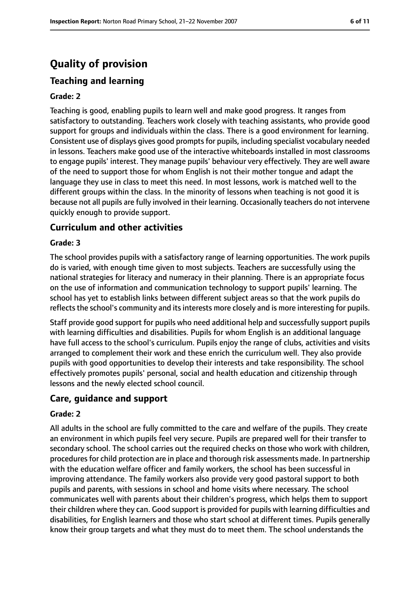# **Quality of provision**

# **Teaching and learning**

#### **Grade: 2**

Teaching is good, enabling pupils to learn well and make good progress. It ranges from satisfactory to outstanding. Teachers work closely with teaching assistants, who provide good support for groups and individuals within the class. There is a good environment for learning. Consistent use of displays gives good prompts for pupils, including specialist vocabulary needed in lessons. Teachers make good use of the interactive whiteboards installed in most classrooms to engage pupils' interest. They manage pupils' behaviour very effectively. They are well aware of the need to support those for whom English is not their mother tongue and adapt the language they use in class to meet this need. In most lessons, work is matched well to the different groups within the class. In the minority of lessons when teaching is not good it is because not all pupils are fully involved in their learning. Occasionally teachers do not intervene quickly enough to provide support.

## **Curriculum and other activities**

#### **Grade: 3**

The school provides pupils with a satisfactory range of learning opportunities. The work pupils do is varied, with enough time given to most subjects. Teachers are successfully using the national strategies for literacy and numeracy in their planning. There is an appropriate focus on the use of information and communication technology to support pupils' learning. The school has yet to establish links between different subject areas so that the work pupils do reflects the school's community and its interests more closely and is more interesting for pupils.

Staff provide good support for pupils who need additional help and successfully support pupils with learning difficulties and disabilities. Pupils for whom English is an additional language have full access to the school's curriculum. Pupils enjoy the range of clubs, activities and visits arranged to complement their work and these enrich the curriculum well. They also provide pupils with good opportunities to develop their interests and take responsibility. The school effectively promotes pupils' personal, social and health education and citizenship through lessons and the newly elected school council.

## **Care, guidance and support**

#### **Grade: 2**

All adults in the school are fully committed to the care and welfare of the pupils. They create an environment in which pupils feel very secure. Pupils are prepared well for their transfer to secondary school. The school carries out the required checks on those who work with children, procedures for child protection are in place and thorough risk assessments made. In partnership with the education welfare officer and family workers, the school has been successful in improving attendance. The family workers also provide very good pastoral support to both pupils and parents, with sessions in school and home visits where necessary. The school communicates well with parents about their children's progress, which helps them to support their children where they can. Good support is provided for pupils with learning difficulties and disabilities, for English learners and those who start school at different times. Pupils generally know their group targets and what they must do to meet them. The school understands the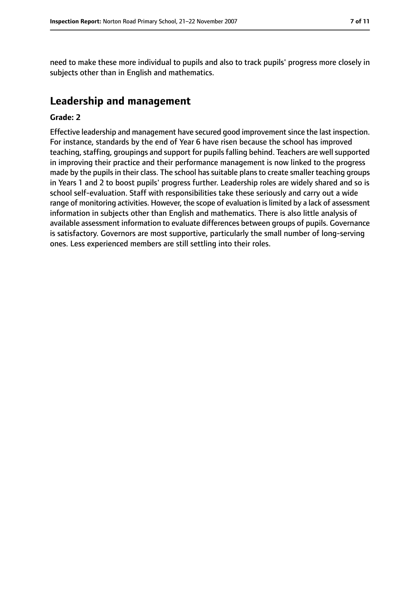need to make these more individual to pupils and also to track pupils' progress more closely in subjects other than in English and mathematics.

# **Leadership and management**

#### **Grade: 2**

Effective leadership and management have secured good improvement since the last inspection. For instance, standards by the end of Year 6 have risen because the school has improved teaching, staffing, groupings and support for pupils falling behind. Teachers are well supported in improving their practice and their performance management is now linked to the progress made by the pupils in their class. The school has suitable plans to create smaller teaching groups in Years 1 and 2 to boost pupils' progress further. Leadership roles are widely shared and so is school self-evaluation. Staff with responsibilities take these seriously and carry out a wide range of monitoring activities. However, the scope of evaluation is limited by a lack of assessment information in subjects other than English and mathematics. There is also little analysis of available assessment information to evaluate differences between groups of pupils. Governance is satisfactory. Governors are most supportive, particularly the small number of long-serving ones. Less experienced members are still settling into their roles.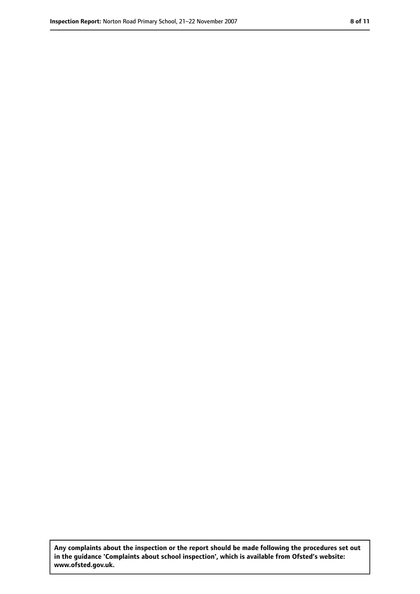**Any complaints about the inspection or the report should be made following the procedures set out in the guidance 'Complaints about school inspection', which is available from Ofsted's website: www.ofsted.gov.uk.**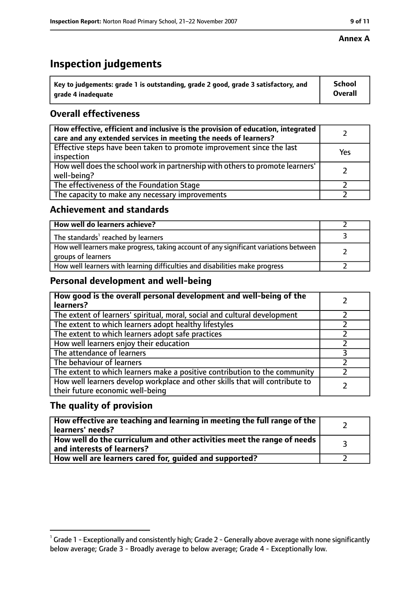# **Inspection judgements**

| $^{\backprime}$ Key to judgements: grade 1 is outstanding, grade 2 good, grade 3 satisfactory, and | <b>School</b>  |
|----------------------------------------------------------------------------------------------------|----------------|
| arade 4 inadequate                                                                                 | <b>Overall</b> |

# **Overall effectiveness**

| How effective, efficient and inclusive is the provision of education, integrated<br>care and any extended services in meeting the needs of learners? |     |
|------------------------------------------------------------------------------------------------------------------------------------------------------|-----|
| Effective steps have been taken to promote improvement since the last<br>inspection                                                                  | Yes |
| How well does the school work in partnership with others to promote learners'<br>well-being?                                                         |     |
| The effectiveness of the Foundation Stage                                                                                                            |     |
| The capacity to make any necessary improvements                                                                                                      |     |

## **Achievement and standards**

| How well do learners achieve?                                                                               |  |
|-------------------------------------------------------------------------------------------------------------|--|
| The standards <sup>1</sup> reached by learners                                                              |  |
| How well learners make progress, taking account of any significant variations between<br>groups of learners |  |
| How well learners with learning difficulties and disabilities make progress                                 |  |

# **Personal development and well-being**

| How good is the overall personal development and well-being of the<br>learners?                                  |  |
|------------------------------------------------------------------------------------------------------------------|--|
| The extent of learners' spiritual, moral, social and cultural development                                        |  |
| The extent to which learners adopt healthy lifestyles                                                            |  |
| The extent to which learners adopt safe practices                                                                |  |
| How well learners enjoy their education                                                                          |  |
| The attendance of learners                                                                                       |  |
| The behaviour of learners                                                                                        |  |
| The extent to which learners make a positive contribution to the community                                       |  |
| How well learners develop workplace and other skills that will contribute to<br>their future economic well-being |  |

# **The quality of provision**

| How effective are teaching and learning in meeting the full range of the<br>learners' needs?          |  |
|-------------------------------------------------------------------------------------------------------|--|
| How well do the curriculum and other activities meet the range of needs<br>and interests of learners? |  |
| How well are learners cared for, guided and supported?                                                |  |

## **Annex A**

 $^1$  Grade 1 - Exceptionally and consistently high; Grade 2 - Generally above average with none significantly below average; Grade 3 - Broadly average to below average; Grade 4 - Exceptionally low.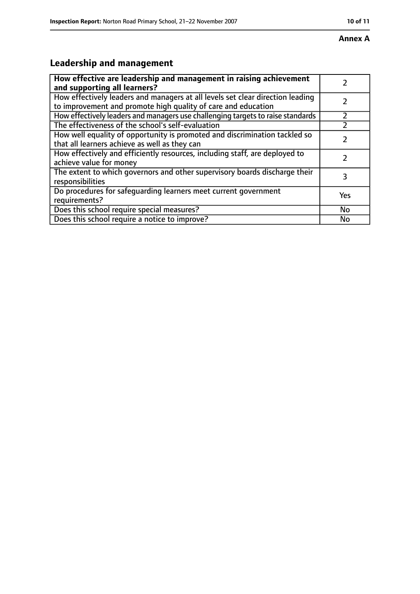# **Leadership and management**

| How effective are leadership and management in raising achievement<br>and supporting all learners?                                              |     |
|-------------------------------------------------------------------------------------------------------------------------------------------------|-----|
| How effectively leaders and managers at all levels set clear direction leading<br>to improvement and promote high quality of care and education |     |
| How effectively leaders and managers use challenging targets to raise standards                                                                 |     |
| The effectiveness of the school's self-evaluation                                                                                               |     |
| How well equality of opportunity is promoted and discrimination tackled so<br>that all learners achieve as well as they can                     |     |
| How effectively and efficiently resources, including staff, are deployed to<br>achieve value for money                                          |     |
| The extent to which governors and other supervisory boards discharge their<br>responsibilities                                                  | 3   |
| Do procedures for safequarding learners meet current government<br>requirements?                                                                | Yes |
| Does this school require special measures?                                                                                                      | No  |
| Does this school require a notice to improve?                                                                                                   | No  |